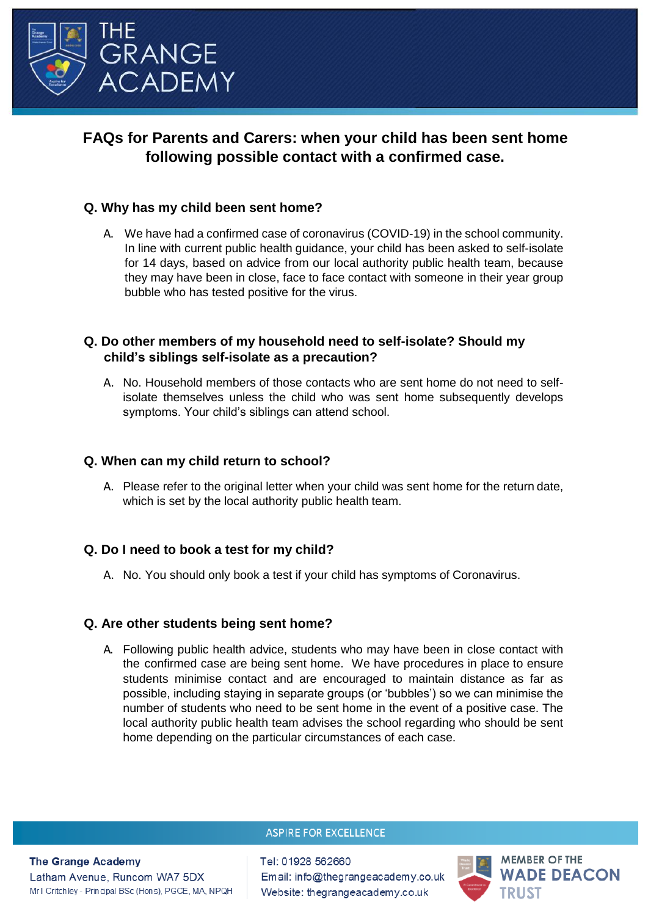

# **FAQs for Parents and Carers: when your child has been sent home following possible contact with a confirmed case.**

# **Q. Why has my child been sent home?**

A. We have had a confirmed case of coronavirus (COVID-19) in the school community. In line with current public health guidance, your child has been asked to self-isolate for 14 days, based on advice from our local authority public health team, because they may have been in close, face to face contact with someone in their year group bubble who has tested positive for the virus.

# **Q. Do other members of my household need to self-isolate? Should my child's siblings self-isolate as a precaution?**

A. No. Household members of those contacts who are sent home do not need to selfisolate themselves unless the child who was sent home subsequently develops symptoms. Your child's siblings can attend school.

# **Q. When can my child return to school?**

A. Please refer to the original letter when your child was sent home for the return date, which is set by the local authority public health team.

# **Q. Do I need to book a test for my child?**

A. No. You should only book a test if your child has symptoms of Coronavirus.

# **Q. Are other students being sent home?**

A. Following public health advice, students who may have been in close contact with the confirmed case are being sent home. We have procedures in place to ensure students minimise contact and are encouraged to maintain distance as far as possible, including staying in separate groups (or 'bubbles') so we can minimise the number of students who need to be sent home in the event of a positive case. The local authority public health team advises the school regarding who should be sent home depending on the particular circumstances of each case.

#### **ASPIRE FOR EXCELLENCE**

**The Grange Academy** 

Latham Avenue, Runcom WA7 5DX Mr I Critchley - Principal BSc (Hons), PGCE, MA, NPQH

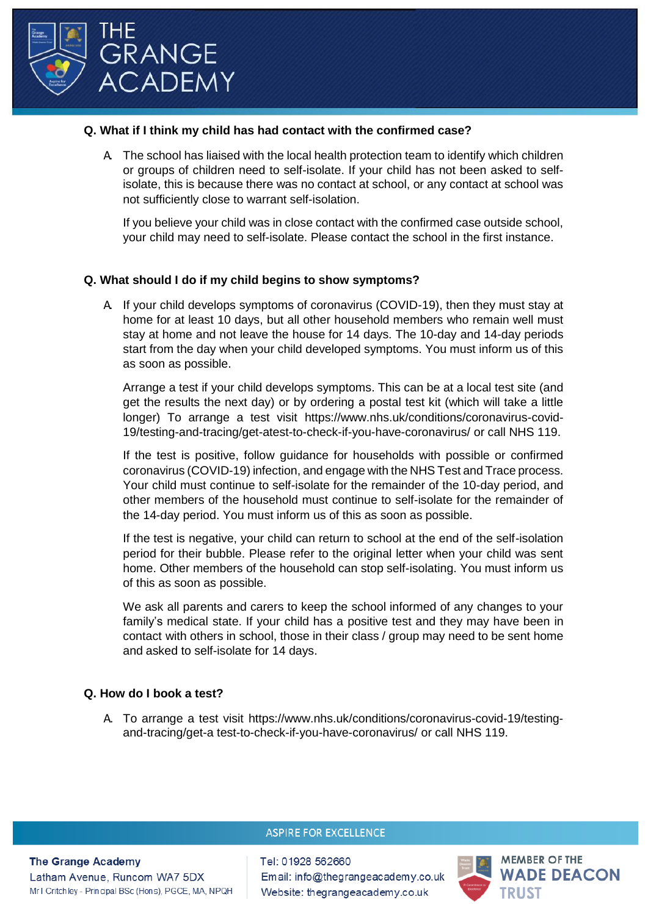

#### **Q. What if I think my child has had contact with the confirmed case?**

A. The school has liaised with the local health protection team to identify which children or groups of children need to self-isolate. If your child has not been asked to selfisolate, this is because there was no contact at school, or any contact at school was not sufficiently close to warrant self-isolation.

If you believe your child was in close contact with the confirmed case outside school, your child may need to self-isolate. Please contact the school in the first instance.

### **Q. What should I do if my child begins to show symptoms?**

A. If your child develops symptoms of coronavirus (COVID-19), then they must stay at home for at least 10 days, but all other household members who remain well must stay at home and not leave the house for 14 days. The 10-day and 14-day periods start from the day when your child developed symptoms. You must inform us of this as soon as possible.

[Arrange a test if](https://www.nhs.uk/conditions/coronavirus-covid-19/testing-and-tracing/) your child develops symptoms. This can be at a local test site (and get the results the next day) or by ordering a postal test kit (which will take a little longer) To arrange a test visit [https://www.nhs.uk/conditions/coronavirus-covid-](https://www.nhs.uk/conditions/coronavirus-covid-19/testing-and-tracing/get-atest-to-check-if-you-have-coronavirus/)[19/testing-and-tracing/get-atest-to-check-if-you-have-coronavirus/ o](https://www.nhs.uk/conditions/coronavirus-covid-19/testing-and-tracing/get-atest-to-check-if-you-have-coronavirus/)r call NHS 119.

If the test is positive, follow [guidance for households with possible or confirmed](https://www.gov.uk/government/publications/covid-19-stay-at-home-guidance) coronavirus [\(COVID-19\)](https://www.gov.uk/government/publications/covid-19-stay-at-home-guidance) infection, and engage with the NHS Test and Trace process. Your child must continue to self-isolate for the remainder of the 10-day period, and other members of the household must continue to self-isolate for the remainder of the 14-day period. You must inform us of this as soon as possible.

If the test is negative, your child can return to school at the end of the self-isolation period for their bubble. Please refer to the original letter when your child was sent home. Other members of the household can stop self-isolating. You must inform us of this as soon as possible.

We ask all parents and carers to keep the school informed of any changes to your family's medical state. If your child has a positive test and they may have been in contact with others in school, those in their class / group may need to be sent home and asked to self-isolate for 14 days.

#### **Q. How do I book a test?**

A. To arrange a test visit [https://www.nhs.uk/conditions/coronavirus-covid-19/testing](https://www.nhs.uk/conditions/coronavirus-covid-19/testing-and-tracing/get-atest-to-check-if-you-have-coronavirus/)and-tracing/get-a [test-to-check-if-you-have-coronavirus/ o](https://www.nhs.uk/conditions/coronavirus-covid-19/testing-and-tracing/get-atest-to-check-if-you-have-coronavirus/)r call NHS 119.

#### **ASPIRE FOR EXCELLENCE**

#### **The Grange Academy**

Latham Avenue, Runcom WA7 5DX Mr I Critchley - Principal BSc (Hons), PGCE, MA, NPQH

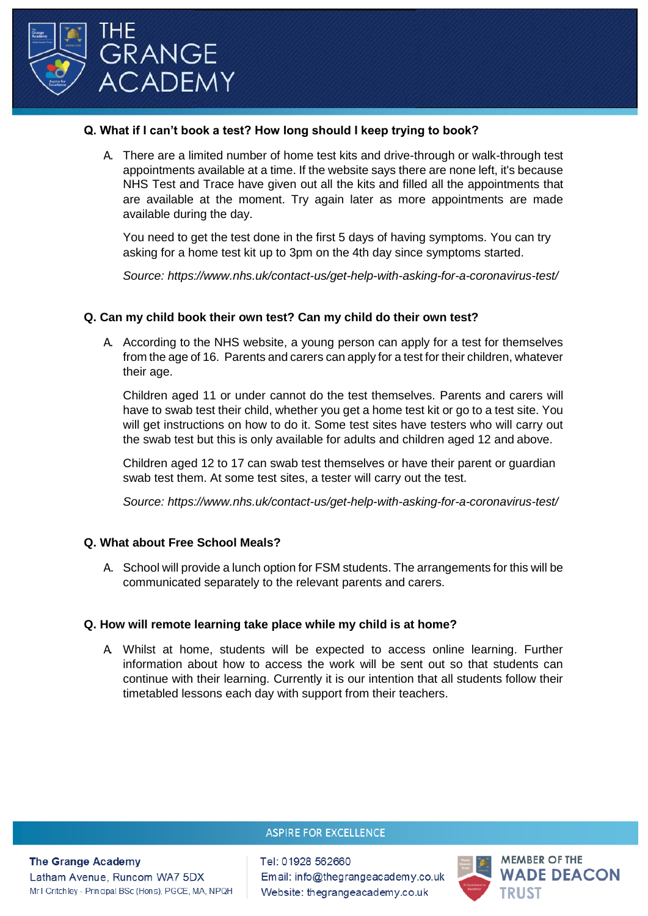

### **Q. What if I can't book a test? How long should I keep trying to book?**

A. There are a limited number of home test kits and drive-through or walk-through test appointments available at a time. If the website says there are none left, it's because NHS Test and Trace have given out all the kits and filled all the appointments that are available at the moment. Try again later as more appointments are made available during the day.

You need to get the test done in the first 5 days of having symptoms. You can try asking for a home test kit up to 3pm on the 4th day since symptoms started.

*Source:<https://www.nhs.uk/contact-us/get-help-with-asking-for-a-coronavirus-test/>*

### **Q. Can my child book their own test? Can my child do their own test?**

A. According to the NHS website, a young person can apply for a test for themselves from the age of 16. Parents and carers can apply for a test for their children, whatever their age.

Children aged 11 or under cannot do the test themselves. Parents and carers will have to swab test their child, whether you get a home test kit or go to a test site. You will get instructions on how to do it. Some test sites have testers who will carry out the swab test but this is only available for adults and children aged 12 and above.

Children aged 12 to 17 can swab test themselves or have their parent or guardian swab test them. At some test sites, a tester will carry out the test.

*Source:<https://www.nhs.uk/contact-us/get-help-with-asking-for-a-coronavirus-test/>*

#### **Q. What about Free School Meals?**

A. School will provide a lunch option for FSM students. The arrangements for this will be communicated separately to the relevant parents and carers.

#### **Q. How will remote learning take place while my child is at home?**

A. Whilst at home, students will be expected to access online learning. Further information about how to access the work will be sent out so that students can continue with their learning. Currently it is our intention that all students follow their timetabled lessons each day with support from their teachers.

#### **ASPIRE FOR EXCELLENCE**

**The Grange Academy** 

Latham Avenue, Runcom WA7 5DX Mr I Critchley - Principal BSc (Hons), PGCE, MA, NPQH